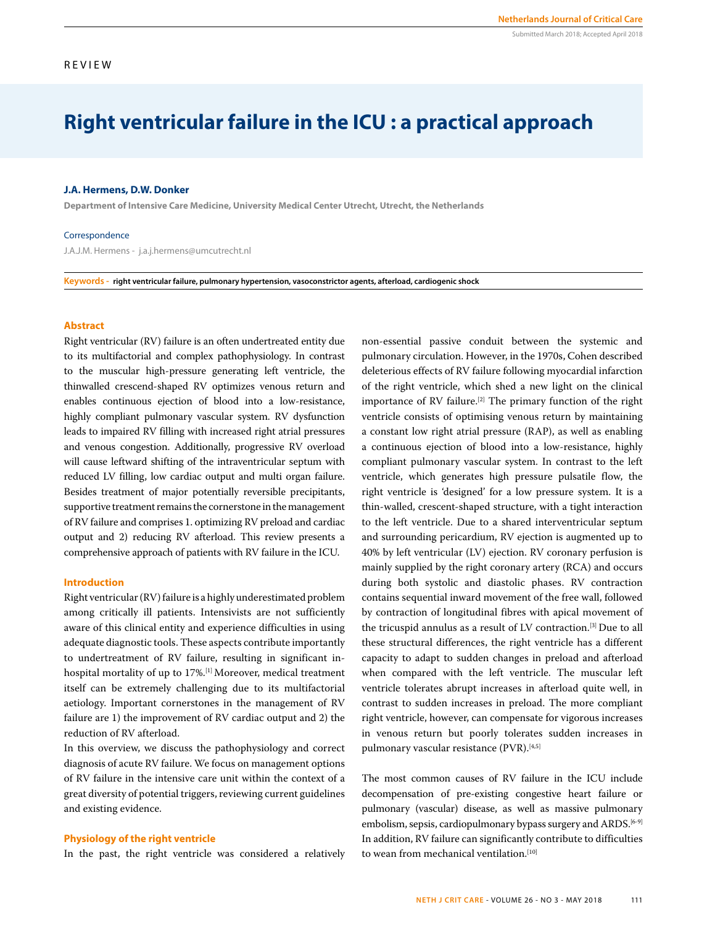# REVIEW

# **Right ventricular failure in the ICU : a practical approach**

#### **J.A. Hermens, D.W. Donker**

**Department of Intensive Care Medicine, University Medical Center Utrecht, Utrecht, the Netherlands**

#### Correspondence

J.A.J.M. Hermens - j.a.j.hermens@umcutrecht.nl

**Keywords - right ventricular failure, pulmonary hypertension, vasoconstrictor agents, afterload, cardiogenic shock** 

## **Abstract**

Right ventricular (RV) failure is an often undertreated entity due to its multifactorial and complex pathophysiology. In contrast to the muscular high-pressure generating left ventricle, the thinwalled crescend-shaped RV optimizes venous return and enables continuous ejection of blood into a low-resistance, highly compliant pulmonary vascular system. RV dysfunction leads to impaired RV filling with increased right atrial pressures and venous congestion. Additionally, progressive RV overload will cause leftward shifting of the intraventricular septum with reduced LV filling, low cardiac output and multi organ failure. Besides treatment of major potentially reversible precipitants, supportive treatment remains the cornerstone in the management of RV failure and comprises 1. optimizing RV preload and cardiac output and 2) reducing RV afterload. This review presents a comprehensive approach of patients with RV failure in the ICU.

#### **Introduction**

Right ventricular (RV) failure is a highly underestimated problem among critically ill patients. Intensivists are not sufficiently aware of this clinical entity and experience difficulties in using adequate diagnostic tools. These aspects contribute importantly to undertreatment of RV failure, resulting in significant inhospital mortality of up to 17%.[1] Moreover, medical treatment itself can be extremely challenging due to its multifactorial aetiology. Important cornerstones in the management of RV failure are 1) the improvement of RV cardiac output and 2) the reduction of RV afterload.

In this overview, we discuss the pathophysiology and correct diagnosis of acute RV failure. We focus on management options of RV failure in the intensive care unit within the context of a great diversity of potential triggers, reviewing current guidelines and existing evidence.

## **Physiology of the right ventricle**

In the past, the right ventricle was considered a relatively

non-essential passive conduit between the systemic and pulmonary circulation. However, in the 1970s, Cohen described deleterious effects of RV failure following myocardial infarction of the right ventricle, which shed a new light on the clinical importance of RV failure.<sup>[2]</sup> The primary function of the right ventricle consists of optimising venous return by maintaining a constant low right atrial pressure (RAP), as well as enabling a continuous ejection of blood into a low-resistance, highly compliant pulmonary vascular system. In contrast to the left ventricle, which generates high pressure pulsatile flow, the right ventricle is 'designed' for a low pressure system. It is a thin-walled, crescent-shaped structure, with a tight interaction to the left ventricle. Due to a shared interventricular septum and surrounding pericardium, RV ejection is augmented up to 40% by left ventricular (LV) ejection. RV coronary perfusion is mainly supplied by the right coronary artery (RCA) and occurs during both systolic and diastolic phases. RV contraction contains sequential inward movement of the free wall, followed by contraction of longitudinal fibres with apical movement of the tricuspid annulus as a result of LV contraction.[3] Due to all these structural differences, the right ventricle has a different capacity to adapt to sudden changes in preload and afterload when compared with the left ventricle. The muscular left ventricle tolerates abrupt increases in afterload quite well, in contrast to sudden increases in preload. The more compliant right ventricle, however, can compensate for vigorous increases in venous return but poorly tolerates sudden increases in pulmonary vascular resistance (PVR).[4,5]

The most common causes of RV failure in the ICU include decompensation of pre-existing congestive heart failure or pulmonary (vascular) disease, as well as massive pulmonary embolism, sepsis, cardiopulmonary bypass surgery and ARDS.<sup>[6-9]</sup> In addition, RV failure can significantly contribute to difficulties to wean from mechanical ventilation.[10]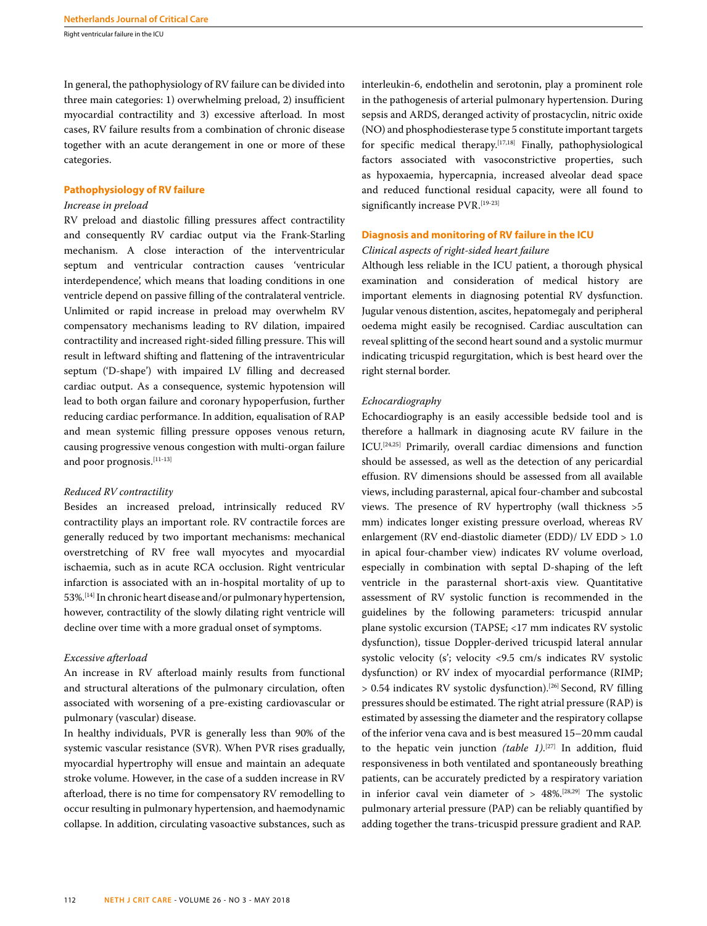In general, the pathophysiology of RV failure can be divided into three main categories: 1) overwhelming preload, 2) insufficient myocardial contractility and 3) excessive afterload. In most cases, RV failure results from a combination of chronic disease together with an acute derangement in one or more of these categories.

## **Pathophysiology of RV failure**

# *Increase in preload*

RV preload and diastolic filling pressures affect contractility and consequently RV cardiac output via the Frank-Starling mechanism. A close interaction of the interventricular septum and ventricular contraction causes 'ventricular interdependence', which means that loading conditions in one ventricle depend on passive filling of the contralateral ventricle. Unlimited or rapid increase in preload may overwhelm RV compensatory mechanisms leading to RV dilation, impaired contractility and increased right-sided filling pressure. This will result in leftward shifting and flattening of the intraventricular septum ('D-shape') with impaired LV filling and decreased cardiac output. As a consequence, systemic hypotension will lead to both organ failure and coronary hypoperfusion, further reducing cardiac performance. In addition, equalisation of RAP and mean systemic filling pressure opposes venous return, causing progressive venous congestion with multi-organ failure and poor prognosis.[11-13]

## *Reduced RV contractility*

Besides an increased preload, intrinsically reduced RV contractility plays an important role. RV contractile forces are generally reduced by two important mechanisms: mechanical overstretching of RV free wall myocytes and myocardial ischaemia, such as in acute RCA occlusion. Right ventricular infarction is associated with an in-hospital mortality of up to 53%.[14] In chronic heart disease and/or pulmonary hypertension, however, contractility of the slowly dilating right ventricle will decline over time with a more gradual onset of symptoms.

## *Excessive afterload*

An increase in RV afterload mainly results from functional and structural alterations of the pulmonary circulation, often associated with worsening of a pre-existing cardiovascular or pulmonary (vascular) disease.

In healthy individuals, PVR is generally less than 90% of the systemic vascular resistance (SVR). When PVR rises gradually, myocardial hypertrophy will ensue and maintain an adequate stroke volume. However, in the case of a sudden increase in RV afterload, there is no time for compensatory RV remodelling to occur resulting in pulmonary hypertension, and haemodynamic collapse. In addition, circulating vasoactive substances, such as interleukin-6, endothelin and serotonin, play a prominent role in the pathogenesis of arterial pulmonary hypertension. During sepsis and ARDS, deranged activity of prostacyclin, nitric oxide (NO) and phosphodiesterase type 5 constitute important targets for specific medical therapy.[17,18] Finally, pathophysiological factors associated with vasoconstrictive properties, such as hypoxaemia, hypercapnia, increased alveolar dead space and reduced functional residual capacity, were all found to significantly increase PVR.<sup>[19-23]</sup>

### **Diagnosis and monitoring of RV failure in the ICU**

# *Clinical aspects of right-sided heart failure*

Although less reliable in the ICU patient, a thorough physical examination and consideration of medical history are important elements in diagnosing potential RV dysfunction. Jugular venous distention, ascites, hepatomegaly and peripheral oedema might easily be recognised. Cardiac auscultation can reveal splitting of the second heart sound and a systolic murmur indicating tricuspid regurgitation, which is best heard over the right sternal border.

## *Echocardiography*

Echocardiography is an easily accessible bedside tool and is therefore a hallmark in diagnosing acute RV failure in the ICU.[24,25] Primarily, overall cardiac dimensions and function should be assessed, as well as the detection of any pericardial effusion. RV dimensions should be assessed from all available views, including parasternal, apical four-chamber and subcostal views. The presence of RV hypertrophy (wall thickness >5 mm) indicates longer existing pressure overload, whereas RV enlargement (RV end-diastolic diameter (EDD)/ LV EDD > 1.0 in apical four-chamber view) indicates RV volume overload, especially in combination with septal D-shaping of the left ventricle in the parasternal short-axis view. Quantitative assessment of RV systolic function is recommended in the guidelines by the following parameters: tricuspid annular plane systolic excursion (TAPSE; <17 mm indicates RV systolic dysfunction), tissue Doppler-derived tricuspid lateral annular systolic velocity (s'; velocity <9.5 cm/s indicates RV systolic dysfunction) or RV index of myocardial performance (RIMP; > 0.54 indicates RV systolic dysfunction).[26] Second, RV filling pressures should be estimated. The right atrial pressure (RAP) is estimated by assessing the diameter and the respiratory collapse of the inferior vena cava and is best measured 15–20mm caudal to the hepatic vein junction *(table 1)*. [27] In addition, fluid responsiveness in both ventilated and spontaneously breathing patients, can be accurately predicted by a respiratory variation in inferior caval vein diameter of  $> 48\%$ .<sup>[28,29]</sup> The systolic pulmonary arterial pressure (PAP) can be reliably quantified by adding together the trans-tricuspid pressure gradient and RAP.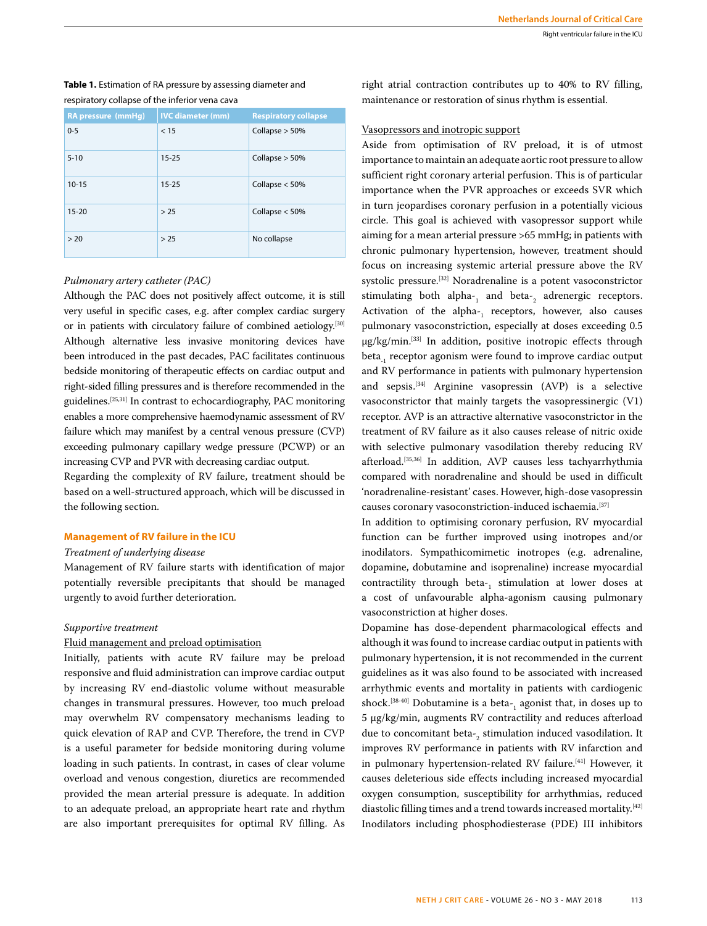# **Table 1.** Estimation of RA pressure by assessing diameter and respiratory collapse of the inferior vena cava

| <b>RA</b> pressure (mmHg) | <b>IVC</b> diameter (mm) | <b>Respiratory collapse</b> |
|---------------------------|--------------------------|-----------------------------|
| $0 - 5$                   | < 15                     | Collapse $> 50%$            |
| $5 - 10$                  | $15 - 25$                | Collapse $> 50%$            |
| $10 - 15$                 | $15 - 25$                | Collapse $<$ 50%            |
| $15 - 20$                 | > 25                     | Collapse $<$ 50%            |
| > 20                      | > 25                     | No collapse                 |

#### *Pulmonary artery catheter (PAC)*

Although the PAC does not positively affect outcome, it is still very useful in specific cases, e.g. after complex cardiac surgery or in patients with circulatory failure of combined aetiology.[30] Although alternative less invasive monitoring devices have been introduced in the past decades, PAC facilitates continuous bedside monitoring of therapeutic effects on cardiac output and right-sided filling pressures and is therefore recommended in the guidelines.[25,31] In contrast to echocardiography, PAC monitoring enables a more comprehensive haemodynamic assessment of RV failure which may manifest by a central venous pressure (CVP) exceeding pulmonary capillary wedge pressure (PCWP) or an increasing CVP and PVR with decreasing cardiac output.

Regarding the complexity of RV failure, treatment should be based on a well-structured approach, which will be discussed in the following section.

## **Management of RV failure in the ICU**

## *Treatment of underlying disease*

Management of RV failure starts with identification of major potentially reversible precipitants that should be managed urgently to avoid further deterioration.

## *Supportive treatment*

## Fluid management and preload optimisation

Initially, patients with acute RV failure may be preload responsive and fluid administration can improve cardiac output by increasing RV end-diastolic volume without measurable changes in transmural pressures. However, too much preload may overwhelm RV compensatory mechanisms leading to quick elevation of RAP and CVP. Therefore, the trend in CVP is a useful parameter for bedside monitoring during volume loading in such patients. In contrast, in cases of clear volume overload and venous congestion, diuretics are recommended provided the mean arterial pressure is adequate. In addition to an adequate preload, an appropriate heart rate and rhythm are also important prerequisites for optimal RV filling. As right atrial contraction contributes up to 40% to RV filling, maintenance or restoration of sinus rhythm is essential.

# Vasopressors and inotropic support

Aside from optimisation of RV preload, it is of utmost importance to maintain an adequate aortic root pressure to allow sufficient right coronary arterial perfusion. This is of particular importance when the PVR approaches or exceeds SVR which in turn jeopardises coronary perfusion in a potentially vicious circle. This goal is achieved with vasopressor support while aiming for a mean arterial pressure >65 mmHg; in patients with chronic pulmonary hypertension, however, treatment should focus on increasing systemic arterial pressure above the RV systolic pressure.[32] Noradrenaline is a potent vasoconstrictor stimulating both alpha- $_1$  and beta- $_2$  adrenergic receptors. Activation of the alpha- $_1$  receptors, however, also causes pulmonary vasoconstriction, especially at doses exceeding 0.5 μg/kg/min.[33] In addition, positive inotropic effects through beta, receptor agonism were found to improve cardiac output and RV performance in patients with pulmonary hypertension and sepsis.[34] Arginine vasopressin (AVP) is a selective vasoconstrictor that mainly targets the vasopressinergic (V1) receptor. AVP is an attractive alternative vasoconstrictor in the treatment of RV failure as it also causes release of nitric oxide with selective pulmonary vasodilation thereby reducing RV afterload.<sup>[35,36]</sup> In addition, AVP causes less tachyarrhythmia compared with noradrenaline and should be used in difficult 'noradrenaline-resistant' cases. However, high-dose vasopressin causes coronary vasoconstriction-induced ischaemia.[37]

In addition to optimising coronary perfusion, RV myocardial function can be further improved using inotropes and/or inodilators. Sympathicomimetic inotropes (e.g. adrenaline, dopamine, dobutamine and isoprenaline) increase myocardial contractility through beta- $_1$  stimulation at lower doses at a cost of unfavourable alpha-agonism causing pulmonary vasoconstriction at higher doses.

Dopamine has dose-dependent pharmacological effects and although it was found to increase cardiac output in patients with pulmonary hypertension, it is not recommended in the current guidelines as it was also found to be associated with increased arrhythmic events and mortality in patients with cardiogenic shock. $^{[38\cdot 40]}$  Dobutamine is a beta-<sub>1</sub> agonist that, in doses up to 5 μg/kg/min, augments RV contractility and reduces afterload due to concomitant beta-<sub>2</sub> stimulation induced vasodilation. It improves RV performance in patients with RV infarction and in pulmonary hypertension-related RV failure.<sup>[41]</sup> However, it causes deleterious side effects including increased myocardial oxygen consumption, susceptibility for arrhythmias, reduced diastolic filling times and a trend towards increased mortality.<sup>[42]</sup> Inodilators including phosphodiesterase (PDE) III inhibitors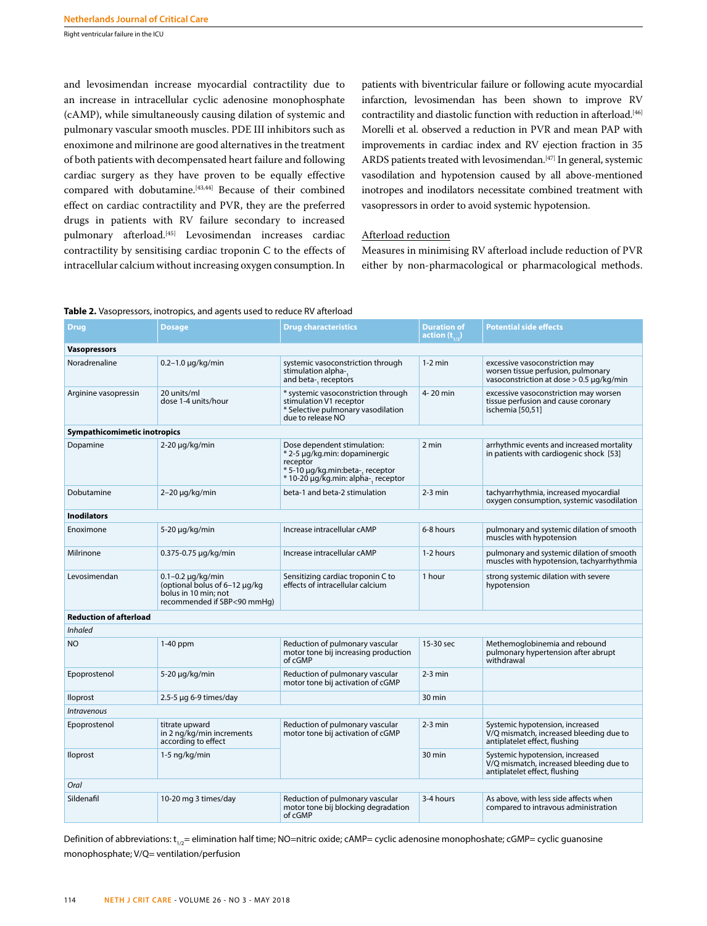and levosimendan increase myocardial contractility due to an increase in intracellular cyclic adenosine monophosphate (cAMP), while simultaneously causing dilation of systemic and pulmonary vascular smooth muscles. PDE III inhibitors such as enoximone and milrinone are good alternatives in the treatment of both patients with decompensated heart failure and following cardiac surgery as they have proven to be equally effective compared with dobutamine.<sup>[43,44]</sup> Because of their combined effect on cardiac contractility and PVR, they are the preferred drugs in patients with RV failure secondary to increased pulmonary afterload.<sup>[45]</sup> Levosimendan increases cardiac contractility by sensitising cardiac troponin C to the effects of intracellular calcium without increasing oxygen consumption. In

patients with biventricular failure or following acute myocardial infarction, levosimendan has been shown to improve RV contractility and diastolic function with reduction in afterload.[46] Morelli et al. observed a reduction in PVR and mean PAP with improvements in cardiac index and RV ejection fraction in 35 ARDS patients treated with levosimendan.<sup>[47]</sup> In general, systemic vasodilation and hypotension caused by all above-mentioned inotropes and inodilators necessitate combined treatment with vasopressors in order to avoid systemic hypotension.

## Afterload reduction

Measures in minimising RV afterload include reduction of PVR either by non-pharmacological or pharmacological methods.

| <b>Drug</b>                   | <b>Dosage</b>                                                                                                    | <b>Drug characteristics</b>                                                                                                                         | <b>Duration of</b><br>action $(\mathbf{t}_{1,2})$ | <b>Potential side effects</b>                                                                                         |  |
|-------------------------------|------------------------------------------------------------------------------------------------------------------|-----------------------------------------------------------------------------------------------------------------------------------------------------|---------------------------------------------------|-----------------------------------------------------------------------------------------------------------------------|--|
| <b>Vasopressors</b>           |                                                                                                                  |                                                                                                                                                     |                                                   |                                                                                                                       |  |
| Noradrenaline                 | $0.2 - 1.0 \mu g/kg/min$                                                                                         | systemic vasoconstriction through<br>stimulation alpha-.<br>and beta-, receptors                                                                    | $1-2$ min                                         | excessive vasoconstriction may<br>worsen tissue perfusion, pulmonary<br>vasoconstriction at dose $> 0.5 \mu q/kg/min$ |  |
| Arginine vasopressin          | 20 units/ml<br>dose 1-4 units/hour                                                                               | * systemic vasoconstriction through<br>stimulation V1 receptor<br>* Selective pulmonary vasodilation<br>due to release NO                           | 4-20 min                                          | excessive vasoconstriction may worsen<br>tissue perfusion and cause coronary<br>ischemia [50,51]                      |  |
| Sympathicomimetic inotropics  |                                                                                                                  |                                                                                                                                                     |                                                   |                                                                                                                       |  |
| Dopamine                      | $2-20 \mu q/kg/min$                                                                                              | Dose dependent stimulation:<br>* 2-5 µg/kg.min: dopaminergic<br>receptor<br>* 5-10 µg/kg.min:beta-, receptor<br>* 10-20 μg/kg.min: alpha-, receptor | 2 min                                             | arrhythmic events and increased mortality<br>in patients with cardiogenic shock [53]                                  |  |
| Dobutamine                    | $2-20 \mu g/kg/min$                                                                                              | beta-1 and beta-2 stimulation                                                                                                                       | $2-3$ min                                         | tachyarrhythmia, increased myocardial<br>oxygen consumption, systemic vasodilation                                    |  |
| <b>Inodilators</b>            |                                                                                                                  |                                                                                                                                                     |                                                   |                                                                                                                       |  |
| Enoximone                     | $5-20 \mu q/kg/min$                                                                                              | Increase intracellular cAMP                                                                                                                         | 6-8 hours                                         | pulmonary and systemic dilation of smooth<br>muscles with hypotension                                                 |  |
| Milrinone                     | $0.375 - 0.75 \mu q/kg/min$                                                                                      | Increase intracellular cAMP                                                                                                                         | 1-2 hours                                         | pulmonary and systemic dilation of smooth<br>muscles with hypotension, tachyarrhythmia                                |  |
| Levosimendan                  | $0.1 - 0.2 \mu q/kg/min$<br>(optional bolus of 6-12 µg/kg<br>bolus in 10 min; not<br>recommended if SBP<90 mmHq) | Sensitizing cardiac troponin C to<br>effects of intracellular calcium                                                                               | 1 hour                                            | strong systemic dilation with severe<br>hypotension                                                                   |  |
| <b>Reduction of afterload</b> |                                                                                                                  |                                                                                                                                                     |                                                   |                                                                                                                       |  |
| <b>Inhaled</b>                |                                                                                                                  |                                                                                                                                                     |                                                   |                                                                                                                       |  |
| <b>NO</b>                     | $1-40$ ppm                                                                                                       | Reduction of pulmonary vascular<br>motor tone bij increasing production<br>of cGMP                                                                  | 15-30 sec                                         | Methemoglobinemia and rebound<br>pulmonary hypertension after abrupt<br>withdrawal                                    |  |
| Epoprostenol                  | $5-20 \mu q/kg/min$                                                                                              | Reduction of pulmonary vascular<br>motor tone bij activation of cGMP                                                                                | $2-3$ min                                         |                                                                                                                       |  |
| <b>Iloprost</b>               | $2.5 - 5 \mu$ g 6-9 times/day                                                                                    |                                                                                                                                                     | 30 min                                            |                                                                                                                       |  |
| <i><b>Intravenous</b></i>     |                                                                                                                  |                                                                                                                                                     |                                                   |                                                                                                                       |  |
| Epoprostenol                  | titrate upward<br>in 2 ng/kg/min increments<br>according to effect                                               | Reduction of pulmonary vascular<br>motor tone bij activation of cGMP                                                                                | $2-3$ min                                         | Systemic hypotension, increased<br>V/Q mismatch, increased bleeding due to<br>antiplatelet effect, flushing           |  |
| <b>Iloprost</b>               | $1-5$ ng/kg/min                                                                                                  |                                                                                                                                                     | $30 \text{ min}$                                  | Systemic hypotension, increased<br>V/Q mismatch, increased bleeding due to<br>antiplatelet effect, flushing           |  |
| Oral                          |                                                                                                                  |                                                                                                                                                     |                                                   |                                                                                                                       |  |
| Sildenafil                    | 10-20 mg 3 times/day                                                                                             | Reduction of pulmonary vascular<br>motor tone bij blocking degradation<br>of cGMP                                                                   | 3-4 hours                                         | As above, with less side affects when<br>compared to intravous administration                                         |  |

Definition of abbreviations:  $t_{1/2}$ = elimination half time; NO=nitric oxide; cAMP= cyclic adenosine monophoshate; cGMP= cyclic guanosine monophosphate; V/Q= ventilation/perfusion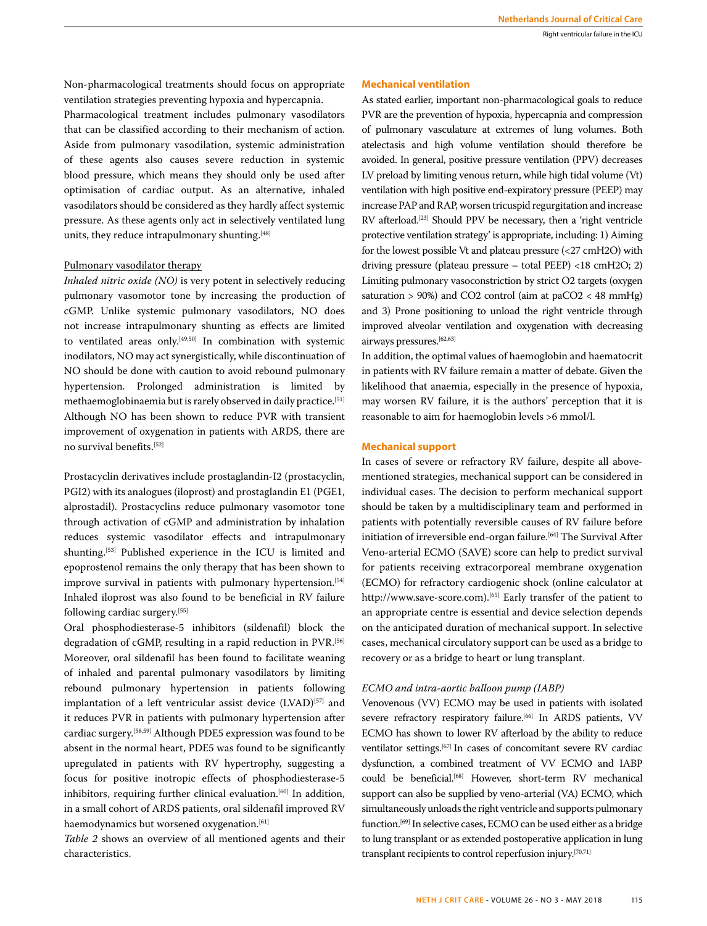Non-pharmacological treatments should focus on appropriate ventilation strategies preventing hypoxia and hypercapnia.

Pharmacological treatment includes pulmonary vasodilators that can be classified according to their mechanism of action. Aside from pulmonary vasodilation, systemic administration of these agents also causes severe reduction in systemic blood pressure, which means they should only be used after optimisation of cardiac output. As an alternative, inhaled vasodilators should be considered as they hardly affect systemic pressure. As these agents only act in selectively ventilated lung units, they reduce intrapulmonary shunting.<sup>[48]</sup>

# Pulmonary vasodilator therapy

*Inhaled nitric oxide (NO)* is very potent in selectively reducing pulmonary vasomotor tone by increasing the production of cGMP. Unlike systemic pulmonary vasodilators, NO does not increase intrapulmonary shunting as effects are limited to ventilated areas only.<sup>[49,50]</sup> In combination with systemic inodilators, NO may act synergistically, while discontinuation of NO should be done with caution to avoid rebound pulmonary hypertension. Prolonged administration is limited by methaemoglobinaemia but is rarely observed in daily practice.[51] Although NO has been shown to reduce PVR with transient improvement of oxygenation in patients with ARDS, there are no survival benefits.[52]

Prostacyclin derivatives include prostaglandin-I2 (prostacyclin, PGI2) with its analogues (iloprost) and prostaglandin E1 (PGE1, alprostadil). Prostacyclins reduce pulmonary vasomotor tone through activation of cGMP and administration by inhalation reduces systemic vasodilator effects and intrapulmonary shunting.[53] Published experience in the ICU is limited and epoprostenol remains the only therapy that has been shown to improve survival in patients with pulmonary hypertension.<sup>[54]</sup> Inhaled iloprost was also found to be beneficial in RV failure following cardiac surgery.[55]

Oral phosphodiesterase-5 inhibitors (sildenafil) block the degradation of cGMP, resulting in a rapid reduction in PVR.<sup>[56]</sup> Moreover, oral sildenafil has been found to facilitate weaning of inhaled and parental pulmonary vasodilators by limiting rebound pulmonary hypertension in patients following implantation of a left ventricular assist device (LVAD)<sup>[57]</sup> and it reduces PVR in patients with pulmonary hypertension after cardiac surgery.[58,59] Although PDE5 expression was found to be absent in the normal heart, PDE5 was found to be significantly upregulated in patients with RV hypertrophy, suggesting a focus for positive inotropic effects of phosphodiesterase-5 inhibitors, requiring further clinical evaluation.<sup>[60]</sup> In addition, in a small cohort of ARDS patients, oral sildenafil improved RV haemodynamics but worsened oxygenation.<sup>[61]</sup>

*Table 2* shows an overview of all mentioned agents and their characteristics.

# **Mechanical ventilation**

As stated earlier, important non-pharmacological goals to reduce PVR are the prevention of hypoxia, hypercapnia and compression of pulmonary vasculature at extremes of lung volumes. Both atelectasis and high volume ventilation should therefore be avoided. In general, positive pressure ventilation (PPV) decreases LV preload by limiting venous return, while high tidal volume (Vt) ventilation with high positive end-expiratory pressure (PEEP) may increase PAP and RAP, worsen tricuspid regurgitation and increase RV afterload.[23] Should PPV be necessary, then a 'right ventricle protective ventilation strategy' is appropriate, including: 1) Aiming for the lowest possible Vt and plateau pressure (<27 cmH2O) with driving pressure (plateau pressure – total PEEP) <18 cmH2O; 2) Limiting pulmonary vasoconstriction by strict O2 targets (oxygen saturation > 90%) and CO2 control (aim at paCO2 < 48 mmHg) and 3) Prone positioning to unload the right ventricle through improved alveolar ventilation and oxygenation with decreasing airways pressures.<sup>[62,63]</sup>

In addition, the optimal values of haemoglobin and haematocrit in patients with RV failure remain a matter of debate. Given the likelihood that anaemia, especially in the presence of hypoxia, may worsen RV failure, it is the authors' perception that it is reasonable to aim for haemoglobin levels >6 mmol/l.

#### **Mechanical support**

In cases of severe or refractory RV failure, despite all abovementioned strategies, mechanical support can be considered in individual cases. The decision to perform mechanical support should be taken by a multidisciplinary team and performed in patients with potentially reversible causes of RV failure before initiation of irreversible end-organ failure.<sup>[64]</sup> The Survival After Veno-arterial ECMO (SAVE) score can help to predict survival for patients receiving extracorporeal membrane oxygenation (ECMO) for refractory cardiogenic shock (online calculator at http://www.save-score.com).[65] Early transfer of the patient to an appropriate centre is essential and device selection depends on the anticipated duration of mechanical support. In selective cases, mechanical circulatory support can be used as a bridge to recovery or as a bridge to heart or lung transplant.

## *ECMO and intra-aortic balloon pump (IABP)*

Venovenous (VV) ECMO may be used in patients with isolated severe refractory respiratory failure.<sup>[66]</sup> In ARDS patients, VV ECMO has shown to lower RV afterload by the ability to reduce ventilator settings.[67] In cases of concomitant severe RV cardiac dysfunction, a combined treatment of VV ECMO and IABP could be beneficial.<sup>[68]</sup> However, short-term RV mechanical support can also be supplied by veno-arterial (VA) ECMO, which simultaneously unloads the right ventricle and supports pulmonary function.[69] In selective cases, ECMO can be used either as a bridge to lung transplant or as extended postoperative application in lung transplant recipients to control reperfusion injury.[70,71]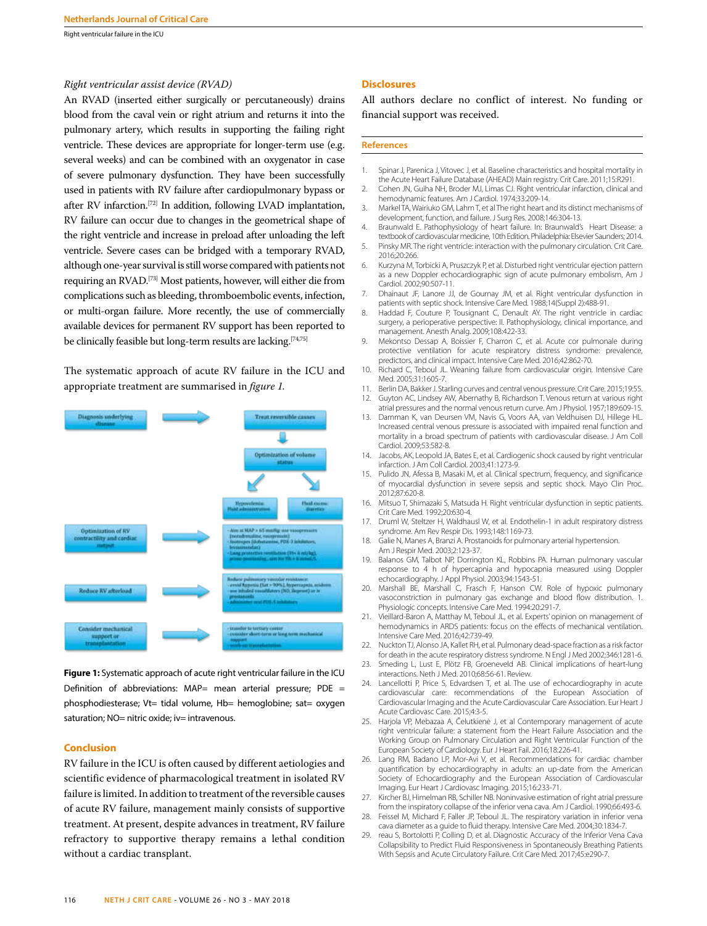#### *Right ventricular assist device (RVAD)*

An RVAD (inserted either surgically or percutaneously) drains blood from the caval vein or right atrium and returns it into the pulmonary artery, which results in supporting the failing right ventricle. These devices are appropriate for longer-term use (e.g. several weeks) and can be combined with an oxygenator in case of severe pulmonary dysfunction. They have been successfully used in patients with RV failure after cardiopulmonary bypass or after RV infarction.[72] In addition, following LVAD implantation, RV failure can occur due to changes in the geometrical shape of the right ventricle and increase in preload after unloading the left ventricle. Severe cases can be bridged with a temporary RVAD, although one-year survival is still worse compared with patients not requiring an RVAD.[73] Most patients, however, will either die from complications such as bleeding, thromboembolic events, infection, or multi-organ failure. More recently, the use of commercially available devices for permanent RV support has been reported to be clinically feasible but long-term results are lacking.<sup>[74,75]</sup>

The systematic approach of acute RV failure in the ICU and appropriate treatment are summarised in *figure 1.* 



**Figure 1:** Systematic approach of acute right ventricular failure in the ICU Definition of abbreviations:  $MAP=$  mean arterial pressure;  $PDE =$ phosphodiesterase; Vt= tidal volume, Hb= hemoglobine; sat= oxygen saturation; NO= nitric oxide; iv= intravenous.

## **Conclusion**

RV failure in the ICU is often caused by different aetiologies and scientific evidence of pharmacological treatment in isolated RV failure is limited. In addition to treatment of the reversible causes of acute RV failure, management mainly consists of supportive treatment. At present, despite advances in treatment, RV failure refractory to supportive therapy remains a lethal condition without a cardiac transplant.

#### **Disclosures**

All authors declare no conflict of interest. No funding or financial support was received.

#### **References**

- 1. Spinar J, Parenica J, Vitovec J, et al. Baseline characteristics and hospital mortality in the Acute Heart Failure Database (AHEAD) Main registry. Crit Care. 2011;15:R291.
- 2. Cohen JN, Guiha NH, Broder MJ, Limas CJ. Right ventricular infarction, clinical and hemodynamic features. Am J Cardiol. 1974;33:209-14.
- 3. Markel TA, Wairiuko GM, Lahm T, et al The right heart and its distinct mechanisms of development, function, and failure. J Surg Res. 2008;146:304-13.
- 4. Braunwald E. Pathophysiology of heart failure. In: Braunwald's Heart Disease: a textbook of cardiovascular medicine, 10th Edition. Philadelphia: Elsevier Saunders; 2014.
- 5. Pinsky MR. The right ventricle: interaction with the pulmonary circulation. Crit Care. 2016;20:266.
- 6. Kurzyna M, Torbicki A, Pruszczyk P, et al. Disturbed right ventricular ejection pattern as a new Doppler echocardiographic sign of acute pulmonary embolism, Am J Cardiol. 2002;90:507-11.
- 7. Dhainaut JF, Lanore JJ, de Gournay JM, et al. Right ventricular dysfunction in patients with septic shock. Intensive Care Med. 1988;14(Suppl 2):488-91.
- 8. Haddad F, Couture P, Tousignant C, Denault AY. The right ventricle in cardiac surgery, a perioperative perspective: II. Pathophysiology, clinical importance, and management. Anesth Analg. 2009;108:422-33.
- 9. Mekontso Dessap A, Boissier F, Charron C, et al. Acute cor pulmonale during protective ventilation for acute respiratory distress syndrome: prevalence, predictors, and clinical impact. Intensive Care Med. 2016;42:862-70.
- 10. Richard C, Teboul JL. Weaning failure from cardiovascular origin. Intensive Care Med. 2005;31:1605-7.
- 11. Berlin DA, Bakker J. Starling curves and central venous pressure. Crit Care. 2015;19:55. Guyton AC, Lindsey AW, Abernathy B, Richardson T. Venous return at various right atrial pressures and the normal venous return curve. Am J Physiol. 1957;189:609-15.
- 13. Damman K, van Deursen VM, Navis G, Voors AA, van Veldhuisen DJ, Hillege HL. Increased central venous pressure is associated with impaired renal function and mortality in a broad spectrum of patients with cardiovascular disease. J Am Coll Cardiol. 2009;53:582-8.
- 14. Jacobs, AK, Leopold JA, Bates E, et al. Cardiogenic shock caused by right ventricular infarction. J Am Coll Cardiol. 2003;41:1273-9.
- 15. Pulido JN, Afessa B, Masaki M, et al. Clinical spectrum, frequency, and significance of myocardial dysfunction in severe sepsis and septic shock. Mayo Clin Proc. 2012;87:620-8.
- 16. Mitsuo T, Shimazaki S, Matsuda H. Right ventricular dysfunction in septic patients. Crit Care Med. 1992;20:630-4.
- 17. Druml W, Steltzer H, Waldhausl W, et al. Endothelin-1 in adult respiratory distress syndrome. Am Rev Respir Dis. 1993;148:1169-73.
- 18. Galie N, Manes A, Branzi A. Prostanoids for pulmonary arterial hypertension. Am J Respir Med. 2003;2:123-37.
- 19. Balanos GM, Talbot NP, Dorrington KL, Robbins PA. Human pulmonary vascular response to 4 h of hypercapnia and hypocapnia measured using Doppler echocardiography. J Appl Physiol. 2003;94:1543-51.
- 20. Marshall BE, Marshall C, Frasch F, Hanson CW. Role of hypoxic pulmonary vasoconstriction in pulmonary gas exchange and blood flow distribution. 1. Physiologic concepts. Intensive Care Med. 1994:20:291-7.
- 21. Vieillard-Baron A, Matthay M, Teboul JL, et al. Experts' opinion on management of hemodynamics in ARDS patients: focus on the effects of mechanical ventilation. Intensive Care Med. 2016;42:739-49.
- 22. Nuckton TJ, Alonso JA, Kallet RH, et al. Pulmonary dead-space fraction as a risk factor for death in the acute respiratory distress syndrome. N Engl J Med 2002;346:1281-6.
- 23. Smeding L, Lust E, Plötz FB, Groeneveld AB. Clinical implications of heart-lung interactions. Neth J Med. 2010;68:56-61. Review.
- 24. Lancellotti P, Price S, Edvardsen T, et al. The use of echocardiography in acute cardiovascular care: recommendations of the European Association of Cardiovascular Imaging and the Acute Cardiovascular Care Association. Eur Heart J Acute Cardiovasc Care. 2015;4:3-5.
- 25. Harjola VP, Mebazaa A, Čelutkienė J, et al Contemporary management of acute right ventricular failure: a statement from the Heart Failure Association and the Working Group on Pulmonary Circulation and Right Ventricular Function of the European Society of Cardiology. Eur J Heart Fail. 2016;18:226-41.
- 26. Lang RM, Badano LP, Mor-Avi V, et al. Recommendations for cardiac chamber quantification by echocardiography in adults: an up-date from the American Society of Echocardiography and the European Association of Cardiovascular Imaging. Eur Heart J Cardiovasc Imaging. 2015;16:233-71.
- 27. Kircher BJ, Himelman RB, Schiller NB. Noninvasive estimation of right atrial pressure from the inspiratory collapse of the inferior vena cava. Am J Cardiol. 1990;66:493-6.
- 28. Feissel M, Michard F, Faller JP, Teboul JL. The respiratory variation in inferior vena cava diameter as a guide to fluid therapy. Intensive Care Med. 2004;30:1834-7.
- 29. reau S, Bortolotti P, Colling D, et al. Diagnostic Accuracy of the Inferior Vena Cava Collapsibility to Predict Fluid Responsiveness in Spontaneously Breathing Patients With Sepsis and Acute Circulatory Failure. Crit Care Med. 2017;45:e290-7.